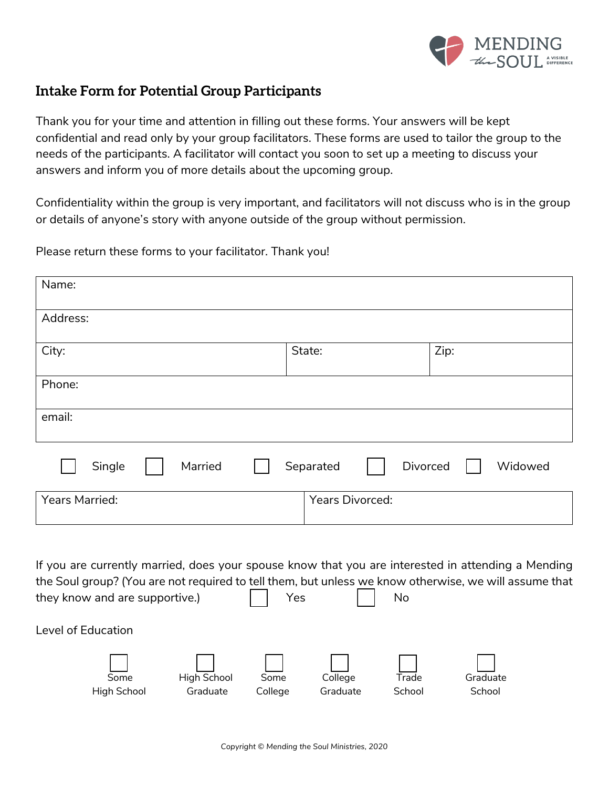

## **Intake Form for Potential Group Participants**

Thank you for your time and attention in filling out these forms. Your answers will be kept confidential and read only by your group facilitators. These forms are used to tailor the group to the needs of the participants. A facilitator will contact you soon to set up a meeting to discuss your answers and inform you of more details about the upcoming group.

Confidentiality within the group is very important, and facilitators will not discuss who is in the group or details of anyone's story with anyone outside of the group without permission.

Please return these forms to your facilitator. Thank you!

| Name:             |                        |         |
|-------------------|------------------------|---------|
| Address:          |                        |         |
| City:             | State:                 | Zip:    |
| Phone:            |                        |         |
| email:            |                        |         |
| Single<br>Married | Divorced<br>Separated  | Widowed |
| Years Married:    | <b>Years Divorced:</b> |         |

If you are currently married, does your spouse know that you are interested in attending a Mending the Soul group? (You are not required to tell them, but unless we know otherwise, we will assume that they know and are supportive.) Yes No

Level of Education

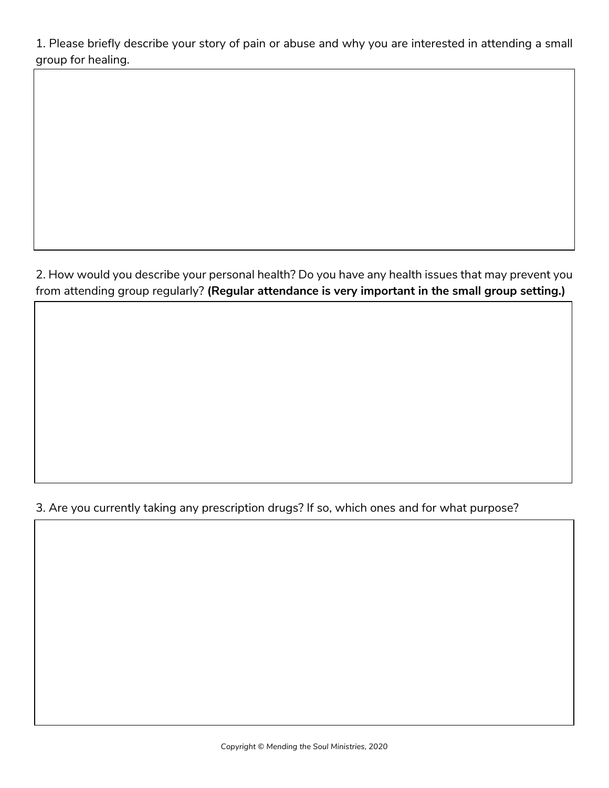1. Please briefly describe your story of pain or abuse and why you are interested in attending a small group for healing.

2. How would you describe your personal health? Do you have any health issues that may prevent you from attending group regularly? **(Regular attendance is very important in the small group setting.)**

## 3. Are you currently taking any prescription drugs? If so, which ones and for what purpose?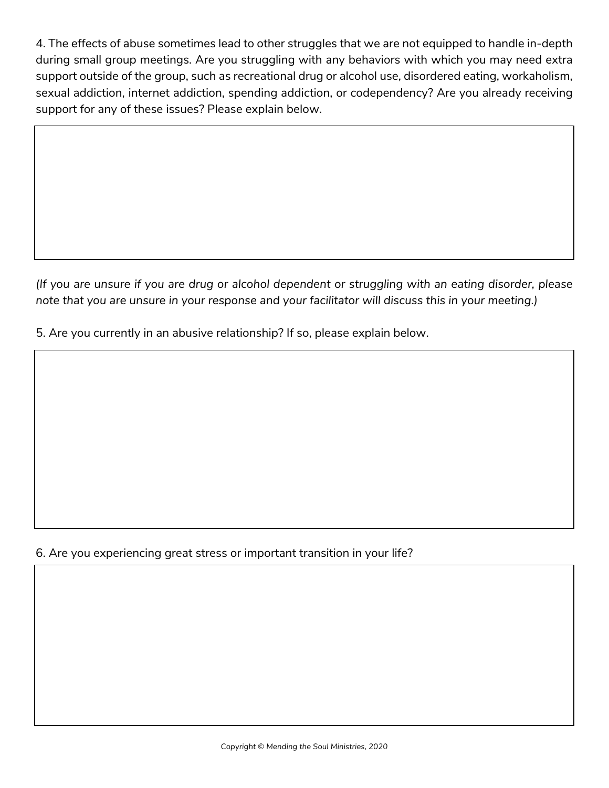4. The effects of abuse sometimes lead to other struggles that we are not equipped to handle in-depth during small group meetings. Are you struggling with any behaviors with which you may need extra support outside of the group, such as recreational drug or alcohol use, disordered eating, workaholism, sexual addiction, internet addiction, spending addiction, or codependency? Are you already receiving support for any of these issues? Please explain below.

*(If you are unsure if you are drug or alcohol dependent or struggling with an eating disorder, please note that you are unsure in your response and your facilitator will discuss this in your meeting.)*

5. Are you currently in an abusive relationship? If so, please explain below.

## 6. Are you experiencing great stress or important transition in your life?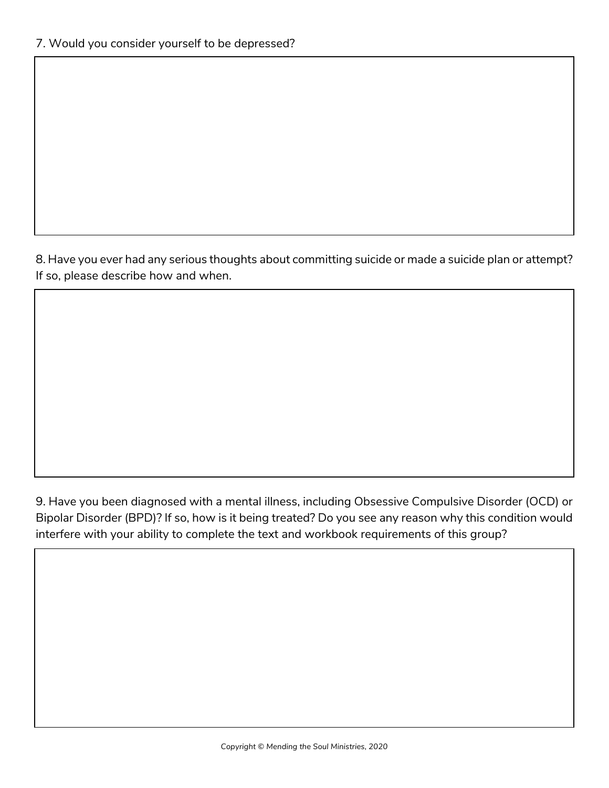8. Have you ever had any serious thoughts about committing suicide or made a suicide plan or attempt? If so, please describe how and when.

9. Have you been diagnosed with a mental illness, including Obsessive Compulsive Disorder (OCD) or Bipolar Disorder (BPD)? If so, how is it being treated? Do you see any reason why this condition would interfere with your ability to complete the text and workbook requirements of this group?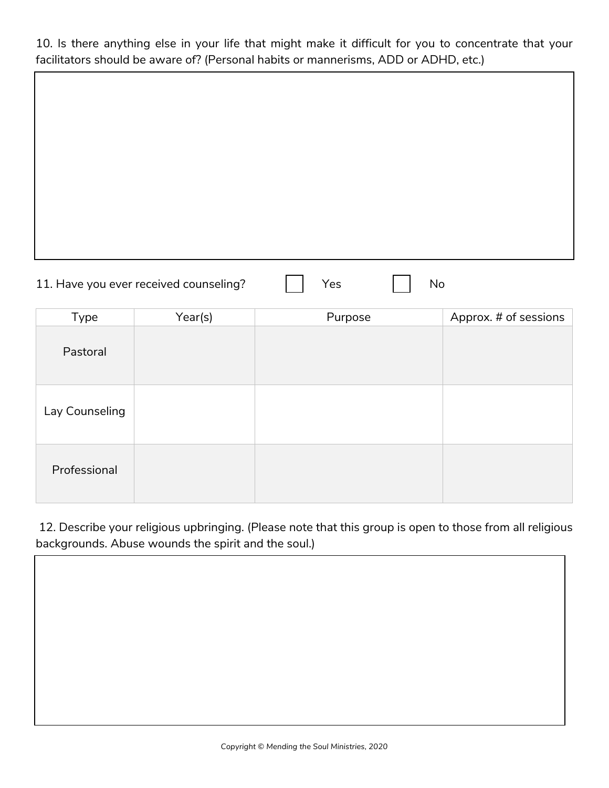10. Is there anything else in your life that might make it difficult for you to concentrate that your facilitators should be aware of? (Personal habits or mannerisms, ADD or ADHD, etc.)

| 11. Have you ever received counseling? |  |  |  |  |
|----------------------------------------|--|--|--|--|
|----------------------------------------|--|--|--|--|

| Type           | Year(s) | Purpose | Approx. # of sessions |
|----------------|---------|---------|-----------------------|
| Pastoral       |         |         |                       |
| Lay Counseling |         |         |                       |
| Professional   |         |         |                       |

12. Describe your religious upbringing. (Please note that this group is open to those from all religious backgrounds. Abuse wounds the spirit and the soul.)